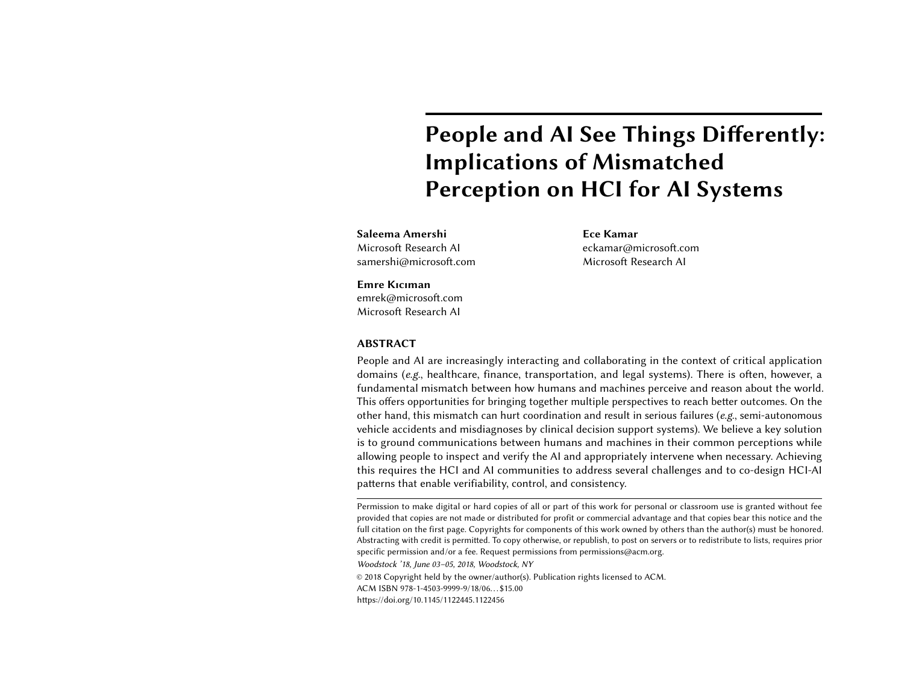# People and AI See Things Differently: Implications of Mismatched Perception on HCI for AI Systems

Saleema Amershi Microsoft Research AI samershi@microsoft.com Ece Kamar eckamar@microsoft.com Microsoft Research AI

#### Emre Kıcıman

emrek@microsoft.com Microsoft Research AI

#### ABSTRACT

People and AI are increasingly interacting and collaborating in the context of critical application domains (e.g., healthcare, finance, transportation, and legal systems). There is often, however, a fundamental mismatch between how humans and machines perceive and reason about the world. This offers opportunities for bringing together multiple perspectives to reach better outcomes. On the other hand, this mismatch can hurt coordination and result in serious failures (e.g., semi-autonomous vehicle accidents and misdiagnoses by clinical decision support systems). We believe a key solution is to ground communications between humans and machines in their common perceptions while allowing people to inspect and verify the AI and appropriately intervene when necessary. Achieving this requires the HCI and AI communities to address several challenges and to co-design HCI-AI patterns that enable verifiability, control, and consistency.

Woodstock '18, June 03–05, 2018, Woodstock, NY

© 2018 Copyright held by the owner/author(s). Publication rights licensed to ACM.

ACM ISBN 978-1-4503-9999-9/18/06. . . \$15.00

<https://doi.org/10.1145/1122445.1122456>

Permission to make digital or hard copies of all or part of this work for personal or classroom use is granted without fee provided that copies are not made or distributed for profit or commercial advantage and that copies bear this notice and the full citation on the first page. Copyrights for components of this work owned by others than the author(s) must be honored. Abstracting with credit is permitted. To copy otherwise, or republish, to post on servers or to redistribute to lists, requires prior specific permission and/or a fee. Request permissions from permissions@acm.org.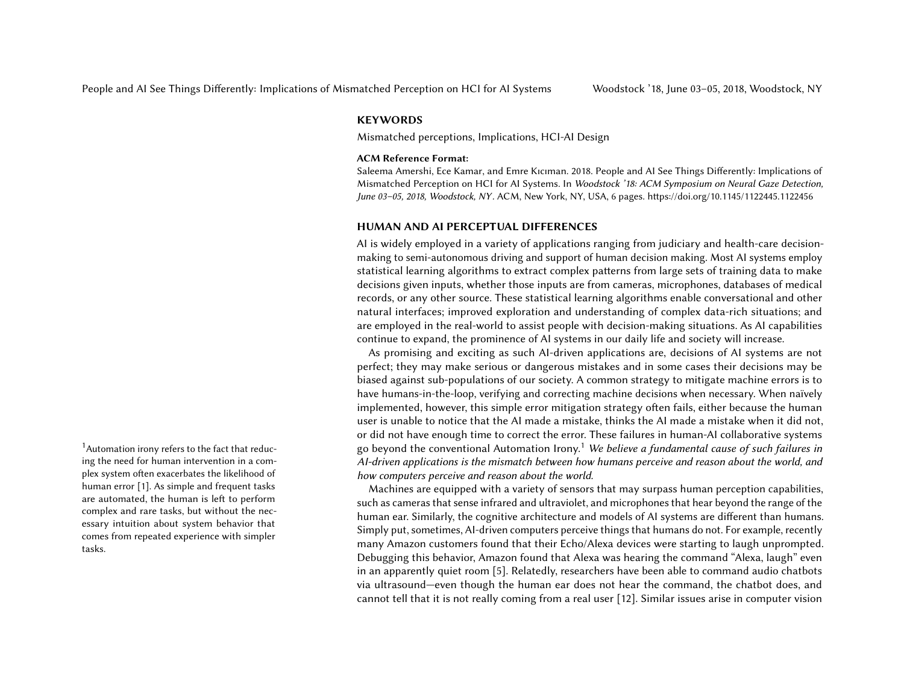#### **KEYWORDS**

Mismatched perceptions, Implications, HCI-AI Design

#### ACM Reference Format:

Saleema Amershi, Ece Kamar, and Emre Kıcıman. 2018. People and AI See Things Differently: Implications of Mismatched Perception on HCI for AI Systems. In Woodstock '18: ACM Symposium on Neural Gaze Detection, June 03–05, 2018, Woodstock, NY . ACM, New York, NY, USA, [6](#page-5-0) pages.<https://doi.org/10.1145/1122445.1122456>

#### HUMAN AND AI PERCEPTUAL DIFFERENCES

AI is widely employed in a variety of applications ranging from judiciary and health-care decisionmaking to semi-autonomous driving and support of human decision making. Most AI systems employ statistical learning algorithms to extract complex patterns from large sets of training data to make decisions given inputs, whether those inputs are from cameras, microphones, databases of medical records, or any other source. These statistical learning algorithms enable conversational and other natural interfaces; improved exploration and understanding of complex data-rich situations; and are employed in the real-world to assist people with decision-making situations. As AI capabilities continue to expand, the prominence of AI systems in our daily life and society will increase.

As promising and exciting as such AI-driven applications are, decisions of AI systems are not perfect; they may make serious or dangerous mistakes and in some cases their decisions may be biased against sub-populations of our society. A common strategy to mitigate machine errors is to have humans-in-the-loop, verifying and correcting machine decisions when necessary. When naïvely implemented, however, this simple error mitigation strategy often fails, either because the human user is unable to notice that the AI made a mistake, thinks the AI made a mistake when it did not, or did not have enough time to correct the error. These failures in human-AI collaborative systems <sup>[1](#page-1-0)</sup> Automation irony refers to the fact that reduc-<br>go beyond the conventional Automation Irony.<sup>1</sup> We believe a fundamental cause of such failures in AI-driven applications is the mismatch between how humans perceive and reason about the world, and how computers perceive and reason about the world.

> Machines are equipped with a variety of sensors that may surpass human perception capabilities, such as cameras that sense infrared and ultraviolet, and microphones that hear beyond the range of the human ear. Similarly, the cognitive architecture and models of AI systems are different than humans. Simply put, sometimes, AI-driven computers perceive things that humans do not. For example, recently many Amazon customers found that their Echo/Alexa devices were starting to laugh unprompted. Debugging this behavior, Amazon found that Alexa was hearing the command "Alexa, laugh" even in an apparently quiet room [\[5\]](#page-5-2). Relatedly, researchers have been able to command audio chatbots via ultrasound—even though the human ear does not hear the command, the chatbot does, and cannot tell that it is not really coming from a real user [\[12\]](#page-5-3). Similar issues arise in computer vision

<span id="page-1-0"></span>ing the need for human intervention in a complex system often exacerbates the likelihood of human error [\[1\]](#page-5-1). As simple and frequent tasks are automated, the human is left to perform complex and rare tasks, but without the necessary intuition about system behavior that comes from repeated experience with simpler tasks.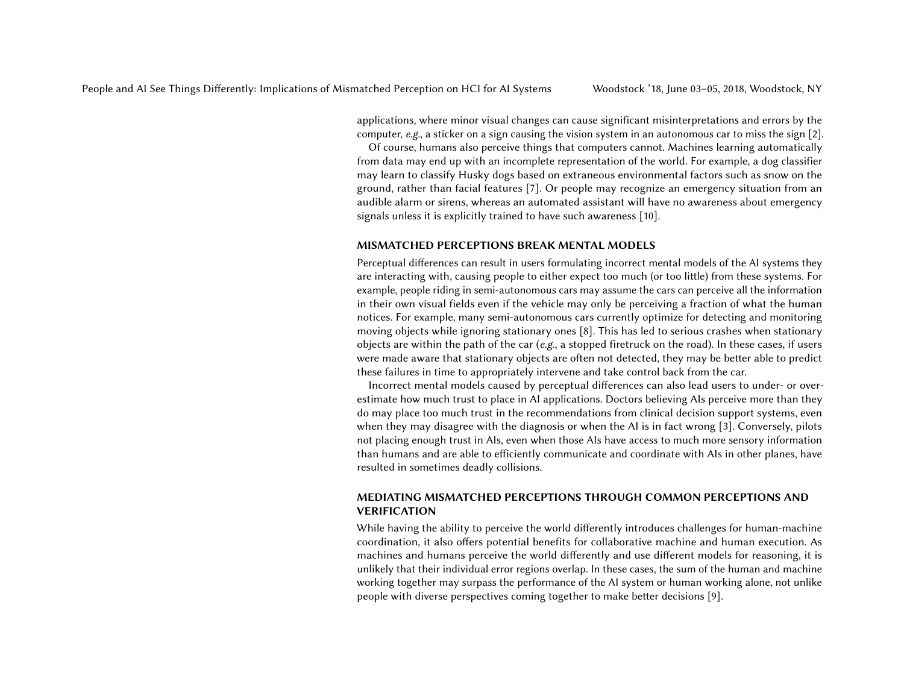applications, where minor visual changes can cause significant misinterpretations and errors by the computer, e.g., a sticker on a sign causing the vision system in an autonomous car to miss the sign [\[2\]](#page-5-4).

Of course, humans also perceive things that computers cannot. Machines learning automatically from data may end up with an incomplete representation of the world. For example, a dog classifier may learn to classify Husky dogs based on extraneous environmental factors such as snow on the ground, rather than facial features [\[7\]](#page-5-5). Or people may recognize an emergency situation from an audible alarm or sirens, whereas an automated assistant will have no awareness about emergency signals unless it is explicitly trained to have such awareness [\[10\]](#page-5-6).

## MISMATCHED PERCEPTIONS BREAK MENTAL MODELS

Perceptual differences can result in users formulating incorrect mental models of the AI systems they are interacting with, causing people to either expect too much (or too little) from these systems. For example, people riding in semi-autonomous cars may assume the cars can perceive all the information in their own visual fields even if the vehicle may only be perceiving a fraction of what the human notices. For example, many semi-autonomous cars currently optimize for detecting and monitoring moving objects while ignoring stationary ones [\[8\]](#page-5-7). This has led to serious crashes when stationary objects are within the path of the car (e.g., a stopped firetruck on the road). In these cases, if users were made aware that stationary objects are often not detected, they may be better able to predict these failures in time to appropriately intervene and take control back from the car.

Incorrect mental models caused by perceptual differences can also lead users to under- or overestimate how much trust to place in AI applications. Doctors believing AIs perceive more than they do may place too much trust in the recommendations from clinical decision support systems, even when they may disagree with the diagnosis or when the AI is in fact wrong [\[3\]](#page-5-8). Conversely, pilots not placing enough trust in AIs, even when those AIs have access to much more sensory information than humans and are able to efficiently communicate and coordinate with AIs in other planes, have resulted in sometimes deadly collisions.

# MEDIATING MISMATCHED PERCEPTIONS THROUGH COMMON PERCEPTIONS AND VERIFICATION

While having the ability to perceive the world differently introduces challenges for human-machine coordination, it also offers potential benefits for collaborative machine and human execution. As machines and humans perceive the world differently and use different models for reasoning, it is unlikely that their individual error regions overlap. In these cases, the sum of the human and machine working together may surpass the performance of the AI system or human working alone, not unlike people with diverse perspectives coming together to make better decisions [\[9\]](#page-5-9).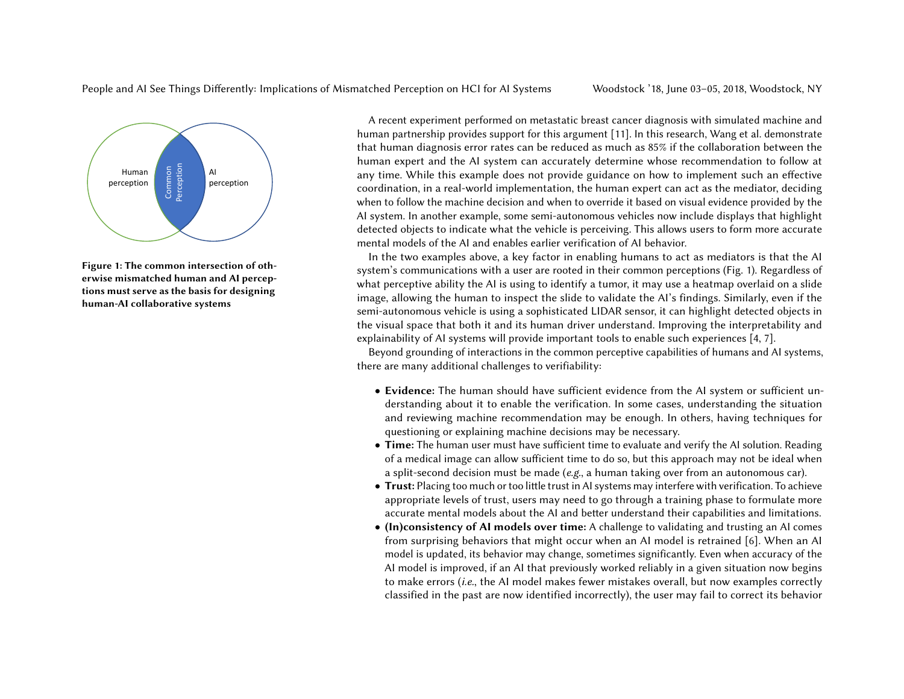

Figure 1: The common intersection of otherwise mismatched human and AI perceptions must serve as the basis for designing human-AI collaborative systems

A recent experiment performed on metastatic breast cancer diagnosis with simulated machine and human partnership provides support for this argument [\[11\]](#page-5-10). In this research, Wang et al. demonstrate that human diagnosis error rates can be reduced as much as 85% if the collaboration between the human expert and the AI system can accurately determine whose recommendation to follow at any time. While this example does not provide guidance on how to implement such an effective coordination, in a real-world implementation, the human expert can act as the mediator, deciding when to follow the machine decision and when to override it based on visual evidence provided by the AI system. In another example, some semi-autonomous vehicles now include displays that highlight detected objects to indicate what the vehicle is perceiving. This allows users to form more accurate mental models of the AI and enables earlier verification of AI behavior.

In the two examples above, a key factor in enabling humans to act as mediators is that the AI system's communications with a user are rooted in their common perceptions (Fig. 1). Regardless of what perceptive ability the AI is using to identify a tumor, it may use a heatmap overlaid on a slide image, allowing the human to inspect the slide to validate the AI's findings. Similarly, even if the semi-autonomous vehicle is using a sophisticated LIDAR sensor, it can highlight detected objects in the visual space that both it and its human driver understand. Improving the interpretability and explainability of AI systems will provide important tools to enable such experiences [\[4,](#page-5-11) [7\]](#page-5-5).

Beyond grounding of interactions in the common perceptive capabilities of humans and AI systems, there are many additional challenges to verifiability:

- Evidence: The human should have sufficient evidence from the AI system or sufficient understanding about it to enable the verification. In some cases, understanding the situation and reviewing machine recommendation may be enough. In others, having techniques for questioning or explaining machine decisions may be necessary.
- Time: The human user must have sufficient time to evaluate and verify the AI solution. Reading of a medical image can allow sufficient time to do so, but this approach may not be ideal when a split-second decision must be made ( $e.g.,$  a human taking over from an autonomous car).
- Trust: Placing too much or too little trust in AI systems may interfere with verification. To achieve appropriate levels of trust, users may need to go through a training phase to formulate more accurate mental models about the AI and better understand their capabilities and limitations.
- (In)consistency of AI models over time: A challenge to validating and trusting an AI comes from surprising behaviors that might occur when an AI model is retrained [\[6\]](#page-5-12). When an AI model is updated, its behavior may change, sometimes significantly. Even when accuracy of the AI model is improved, if an AI that previously worked reliably in a given situation now begins to make errors (i.e., the AI model makes fewer mistakes overall, but now examples correctly classified in the past are now identified incorrectly), the user may fail to correct its behavior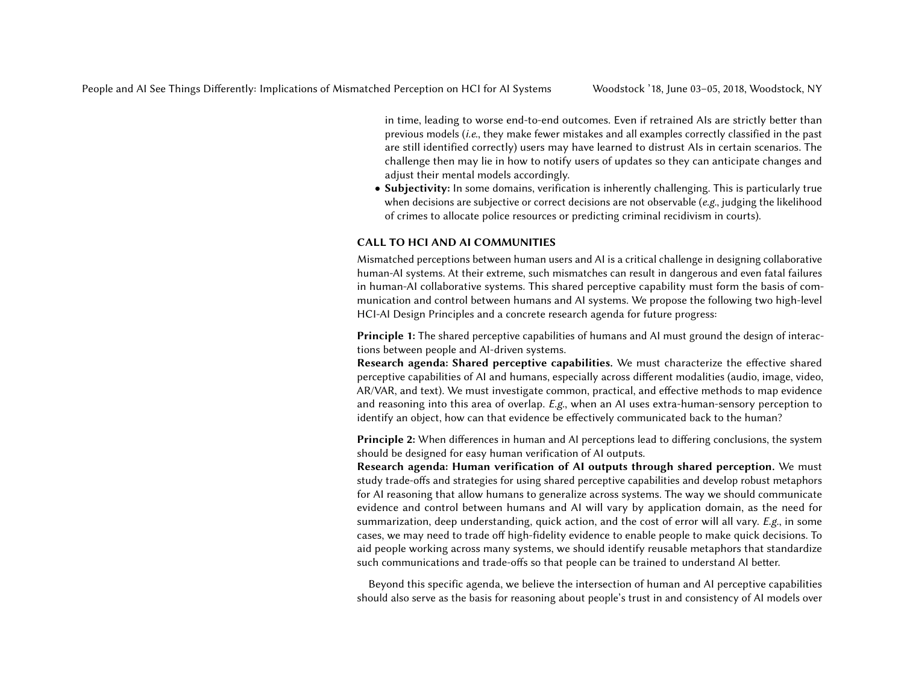in time, leading to worse end-to-end outcomes. Even if retrained AIs are strictly better than previous models (i.e., they make fewer mistakes and all examples correctly classified in the past are still identified correctly) users may have learned to distrust AIs in certain scenarios. The challenge then may lie in how to notify users of updates so they can anticipate changes and adjust their mental models accordingly.

• Subjectivity: In some domains, verification is inherently challenging. This is particularly true when decisions are subjective or correct decisions are not observable (e.g., judging the likelihood of crimes to allocate police resources or predicting criminal recidivism in courts).

## CALL TO HCI AND AI COMMUNITIES

Mismatched perceptions between human users and AI is a critical challenge in designing collaborative human-AI systems. At their extreme, such mismatches can result in dangerous and even fatal failures in human-AI collaborative systems. This shared perceptive capability must form the basis of communication and control between humans and AI systems. We propose the following two high-level HCI-AI Design Principles and a concrete research agenda for future progress:

Principle 1: The shared perceptive capabilities of humans and AI must ground the design of interactions between people and AI-driven systems.

Research agenda: Shared perceptive capabilities. We must characterize the effective shared perceptive capabilities of AI and humans, especially across different modalities (audio, image, video, AR/VAR, and text). We must investigate common, practical, and effective methods to map evidence and reasoning into this area of overlap. E.g., when an AI uses extra-human-sensory perception to identify an object, how can that evidence be effectively communicated back to the human?

Principle 2: When differences in human and AI perceptions lead to differing conclusions, the system should be designed for easy human verification of AI outputs.

Research agenda: Human verification of AI outputs through shared perception. We must study trade-offs and strategies for using shared perceptive capabilities and develop robust metaphors for AI reasoning that allow humans to generalize across systems. The way we should communicate evidence and control between humans and AI will vary by application domain, as the need for summarization, deep understanding, quick action, and the cost of error will all vary.  $E.g.,$  in some cases, we may need to trade off high-fidelity evidence to enable people to make quick decisions. To aid people working across many systems, we should identify reusable metaphors that standardize such communications and trade-offs so that people can be trained to understand AI better.

Beyond this specific agenda, we believe the intersection of human and AI perceptive capabilities should also serve as the basis for reasoning about people's trust in and consistency of AI models over